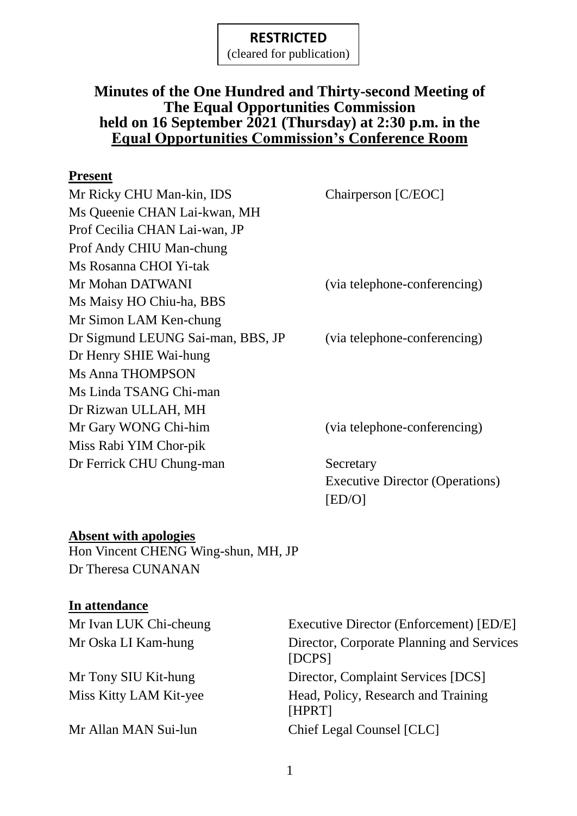(cleared for publication)

## **Minutes of the One Hundred and Thirty-second Meeting of The Equal Opportunities Commission held on 16 September 2021 (Thursday) at 2:30 p.m. in the Equal Opportunities Commission's Conference Room**

#### **Present**

| Mr Ricky CHU Man-kin, IDS         | Chairperson [C/EOC]          |
|-----------------------------------|------------------------------|
| Ms Queenie CHAN Lai-kwan, MH      |                              |
| Prof Cecilia CHAN Lai-wan, JP     |                              |
| Prof Andy CHIU Man-chung          |                              |
| Ms Rosanna CHOI Yi-tak            |                              |
| Mr Mohan DATWANI                  | (via telephone-conferencing) |
| Ms Maisy HO Chiu-ha, BBS          |                              |
| Mr Simon LAM Ken-chung            |                              |
| Dr Sigmund LEUNG Sai-man, BBS, JP | (via telephone-conferencing) |
| Dr Henry SHIE Wai-hung            |                              |
| <b>Ms Anna THOMPSON</b>           |                              |
| Ms Linda TSANG Chi-man            |                              |
| Dr Rizwan ULLAH, MH               |                              |
| Mr Gary WONG Chi-him              | (via telephone-conferencing) |
| Miss Rabi YIM Chor-pik            |                              |
| Dr Ferrick CHU Chung-man          | Secretary                    |

Executive Director (Operations) [ED/O]

#### **Absent with apologies**

Hon Vincent CHENG Wing-shun, MH, JP Dr Theresa CUNANAN

#### **In attendance**

Mr Ivan LUK Chi-cheung Executive Director (Enforcement) [ED/E] Mr Oska LI Kam-hung Director, Corporate Planning and Services [DCPS] Mr Tony SIU Kit-hung Director, Complaint Services [DCS] Miss Kitty LAM Kit-yee Head, Policy, Research and Training [HPRT] Mr Allan MAN Sui-lun Chief Legal Counsel [CLC]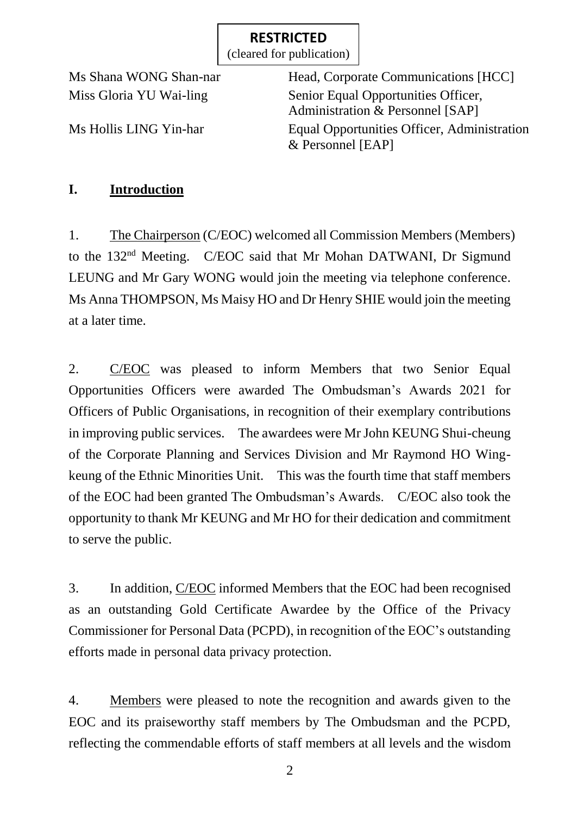(cleared for publication)

Ms Shana WONG Shan-nar Head, Corporate Communications [HCC] Miss Gloria YU Wai-ling Senior Equal Opportunities Officer, Administration & Personnel [SAP] Ms Hollis LING Yin-har Equal Opportunities Officer, Administration & Personnel [EAP]

## **I. Introduction**

1. The Chairperson (C/EOC) welcomed all Commission Members (Members) to the 132<sup>nd</sup> Meeting. C/EOC said that Mr Mohan DATWANI, Dr Sigmund LEUNG and Mr Gary WONG would join the meeting via telephone conference. Ms Anna THOMPSON, Ms Maisy HO and Dr Henry SHIE would join the meeting at a later time.

2. C/EOC was pleased to inform Members that two Senior Equal Opportunities Officers were awarded The Ombudsman's Awards 2021 for Officers of Public Organisations, in recognition of their exemplary contributions in improving public services. The awardees were Mr John KEUNG Shui-cheung of the Corporate Planning and Services Division and Mr Raymond HO Wingkeung of the Ethnic Minorities Unit. This was the fourth time that staff members of the EOC had been granted The Ombudsman's Awards. C/EOC also took the opportunity to thank Mr KEUNG and Mr HO for their dedication and commitment to serve the public.

3. In addition, C/EOC informed Members that the EOC had been recognised as an outstanding Gold Certificate Awardee by the Office of the Privacy Commissioner for Personal Data (PCPD), in recognition of the EOC's outstanding efforts made in personal data privacy protection.

4. Members were pleased to note the recognition and awards given to the EOC and its praiseworthy staff members by The Ombudsman and the PCPD, reflecting the commendable efforts of staff members at all levels and the wisdom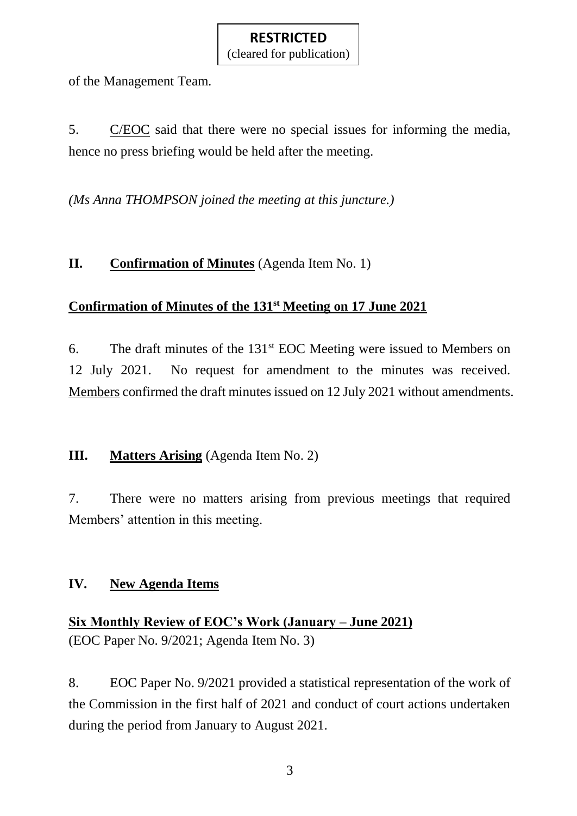(cleared for publication)

of the Management Team.

5. C/EOC said that there were no special issues for informing the media, hence no press briefing would be held after the meeting.

*(Ms Anna THOMPSON joined the meeting at this juncture.)*

## **II. Confirmation of Minutes** (Agenda Item No. 1)

#### **Confirmation of Minutes of the 131st Meeting on 17 June 2021**

6. The draft minutes of the  $131<sup>st</sup>$  EOC Meeting were issued to Members on 12 July 2021. No request for amendment to the minutes was received. Members confirmed the draft minutes issued on 12 July 2021 without amendments.

#### **III. Matters Arising** (Agenda Item No. 2)

7. There were no matters arising from previous meetings that required Members' attention in this meeting.

## **IV. New Agenda Items**

**Six Monthly Review of EOC's Work (January – June 2021)** (EOC Paper No. 9/2021; Agenda Item No. 3)

8. EOC Paper No. 9/2021 provided a statistical representation of the work of the Commission in the first half of 2021 and conduct of court actions undertaken during the period from January to August 2021.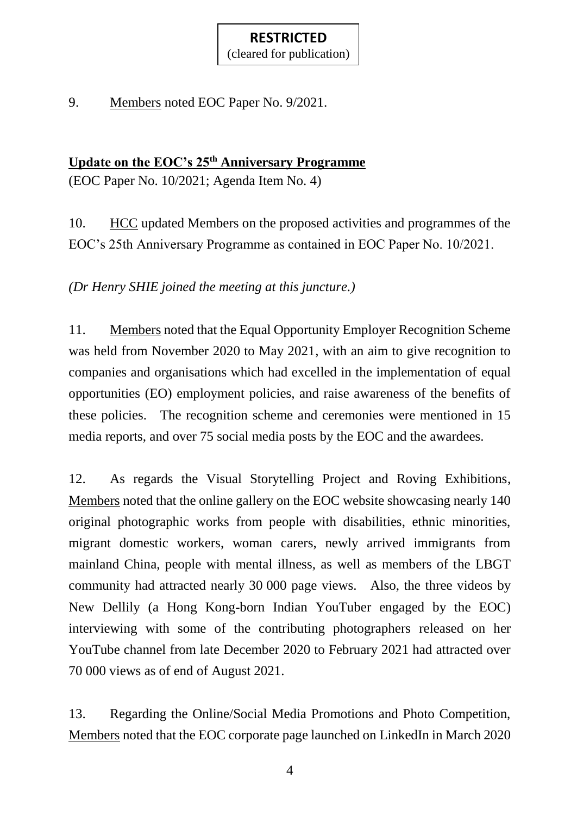(cleared for publication)

9. Members noted EOC Paper No. 9/2021.

## **Update on the EOC's 25th Anniversary Programme**

(EOC Paper No. 10/2021; Agenda Item No. 4)

10. HCC updated Members on the proposed activities and programmes of the EOC's 25th Anniversary Programme as contained in EOC Paper No. 10/2021.

*(Dr Henry SHIE joined the meeting at this juncture.)*

11. Members noted that the Equal Opportunity Employer Recognition Scheme was held from November 2020 to May 2021, with an aim to give recognition to companies and organisations which had excelled in the implementation of equal opportunities (EO) employment policies, and raise awareness of the benefits of these policies. The recognition scheme and ceremonies were mentioned in 15 media reports, and over 75 social media posts by the EOC and the awardees.

12. As regards the Visual Storytelling Project and Roving Exhibitions, Members noted that the online gallery on the EOC website showcasing nearly 140 original photographic works from people with disabilities, ethnic minorities, migrant domestic workers, woman carers, newly arrived immigrants from mainland China, people with mental illness, as well as members of the LBGT community had attracted nearly 30 000 page views. Also, the three videos by New Dellily (a Hong Kong-born Indian YouTuber engaged by the EOC) interviewing with some of the contributing photographers released on her YouTube channel from late December 2020 to February 2021 had attracted over 70 000 views as of end of August 2021.

13. Regarding the Online/Social Media Promotions and Photo Competition, Members noted that the EOC corporate page launched on LinkedIn in March 2020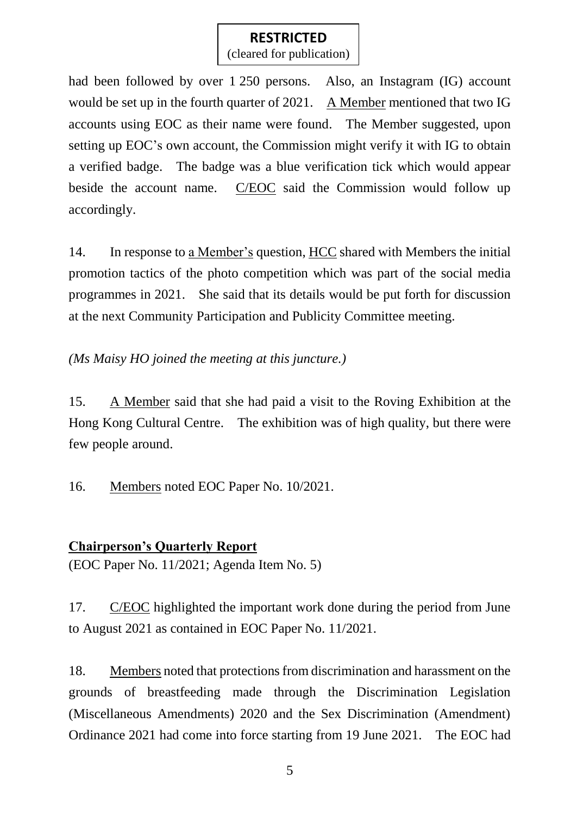(cleared for publication)

had been followed by over 1 250 persons. Also, an Instagram (IG) account would be set up in the fourth quarter of 2021. A Member mentioned that two IG accounts using EOC as their name were found. The Member suggested, upon setting up EOC's own account, the Commission might verify it with IG to obtain a verified badge. The badge was a blue verification tick which would appear beside the account name. C/EOC said the Commission would follow up accordingly.

14. In response to a Member's question, HCC shared with Members the initial promotion tactics of the photo competition which was part of the social media programmes in 2021. She said that its details would be put forth for discussion at the next Community Participation and Publicity Committee meeting.

*(Ms Maisy HO joined the meeting at this juncture.)*

15. A Member said that she had paid a visit to the Roving Exhibition at the Hong Kong Cultural Centre. The exhibition was of high quality, but there were few people around.

16. Members noted EOC Paper No. 10/2021.

## **Chairperson's Quarterly Report**

(EOC Paper No. 11/2021; Agenda Item No. 5)

17. C/EOC highlighted the important work done during the period from June to August 2021 as contained in EOC Paper No. 11/2021.

18. Members noted that protections from discrimination and harassment on the grounds of breastfeeding made through the Discrimination Legislation (Miscellaneous Amendments) 2020 and the Sex Discrimination (Amendment) Ordinance 2021 had come into force starting from 19 June 2021. The EOC had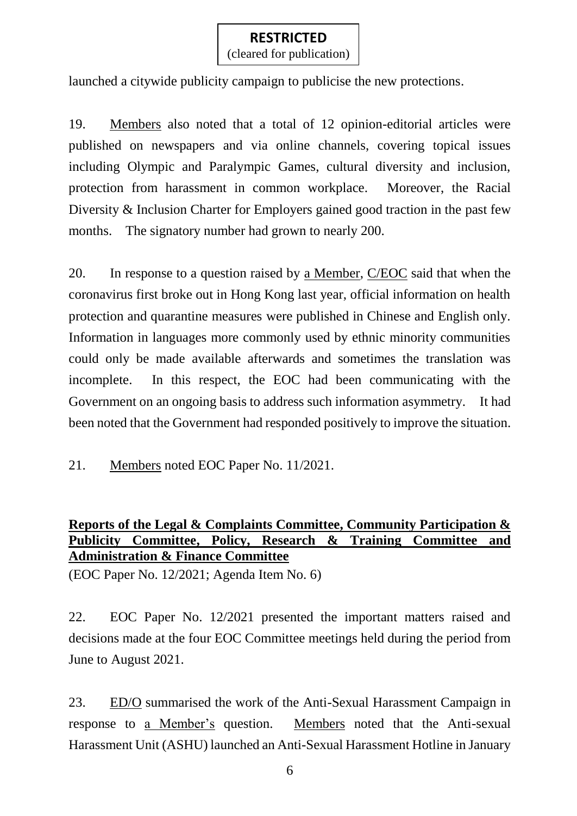(cleared for publication)

launched a citywide publicity campaign to publicise the new protections.

19. Members also noted that a total of 12 opinion-editorial articles were published on newspapers and via online channels, covering topical issues including Olympic and Paralympic Games, cultural diversity and inclusion, protection from harassment in common workplace. Moreover, the Racial Diversity & Inclusion Charter for Employers gained good traction in the past few months. The signatory number had grown to nearly 200.

20. In response to a question raised by a Member, C/EOC said that when the coronavirus first broke out in Hong Kong last year, official information on health protection and quarantine measures were published in Chinese and English only. Information in languages more commonly used by ethnic minority communities could only be made available afterwards and sometimes the translation was incomplete. In this respect, the EOC had been communicating with the Government on an ongoing basis to address such information asymmetry. It had been noted that the Government had responded positively to improve the situation.

21. Members noted EOC Paper No. 11/2021.

## **Reports of the Legal & Complaints Committee, Community Participation & Publicity Committee, Policy, Research & Training Committee and Administration & Finance Committee**

(EOC Paper No. 12/2021; Agenda Item No. 6)

22. EOC Paper No. 12/2021 presented the important matters raised and decisions made at the four EOC Committee meetings held during the period from June to August 2021.

23. ED/O summarised the work of the Anti-Sexual Harassment Campaign in response to a Member's question. Members noted that the Anti-sexual Harassment Unit (ASHU) launched an Anti-Sexual Harassment Hotline in January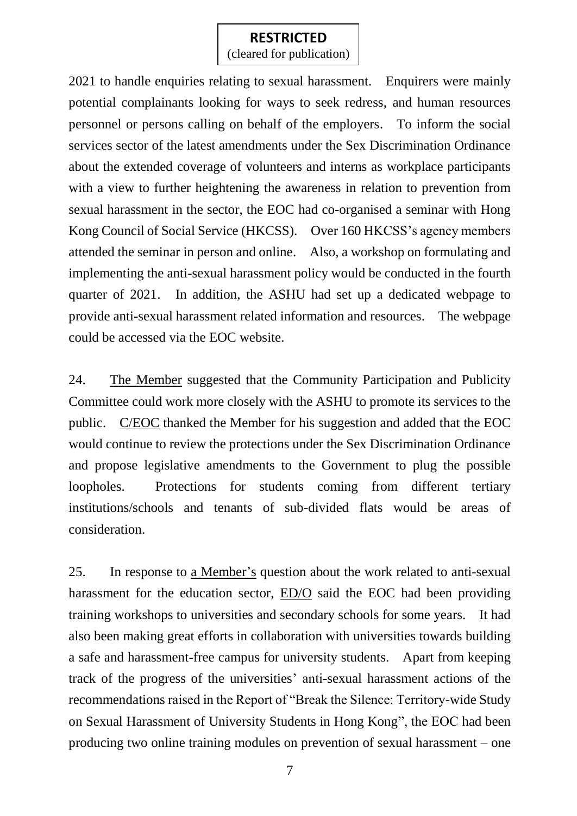(cleared for publication)

2021 to handle enquiries relating to sexual harassment. Enquirers were mainly potential complainants looking for ways to seek redress, and human resources personnel or persons calling on behalf of the employers. To inform the social services sector of the latest amendments under the Sex Discrimination Ordinance about the extended coverage of volunteers and interns as workplace participants with a view to further heightening the awareness in relation to prevention from sexual harassment in the sector, the EOC had co-organised a seminar with Hong Kong Council of Social Service (HKCSS). Over 160 HKCSS's agency members attended the seminar in person and online. Also, a workshop on formulating and implementing the anti-sexual harassment policy would be conducted in the fourth quarter of 2021. In addition, the ASHU had set up a dedicated webpage to provide anti-sexual harassment related information and resources. The webpage could be accessed via the EOC website.

24. The Member suggested that the Community Participation and Publicity Committee could work more closely with the ASHU to promote its services to the public. C/EOC thanked the Member for his suggestion and added that the EOC would continue to review the protections under the Sex Discrimination Ordinance and propose legislative amendments to the Government to plug the possible loopholes. Protections for students coming from different tertiary institutions/schools and tenants of sub-divided flats would be areas of consideration.

25. In response to a Member's question about the work related to anti-sexual harassment for the education sector, ED/O said the EOC had been providing training workshops to universities and secondary schools for some years. It had also been making great efforts in collaboration with universities towards building a safe and harassment-free campus for university students. Apart from keeping track of the progress of the universities' anti-sexual harassment actions of the recommendations raised in the Report of "Break the Silence: Territory-wide Study on Sexual Harassment of University Students in Hong Kong", the EOC had been producing two online training modules on prevention of sexual harassment – one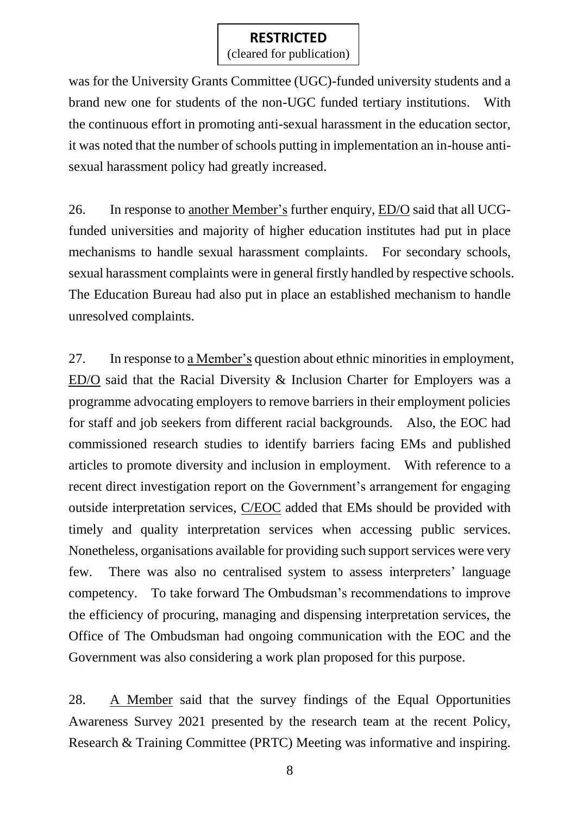(cleared for publication)

was for the University Grants Committee (UGC)-funded university students and a brand new one for students of the non-UGC funded tertiary institutions. With the continuous effort in promoting anti-sexual harassment in the education sector, it was noted that the number of schools putting in implementation an in-house antisexual harassment policy had greatly increased.

26. In response to another Member's further enquiry, ED/O said that all UCGfunded universities and majority of higher education institutes had put in place mechanisms to handle sexual harassment complaints. For secondary schools, sexual harassment complaints were in general firstly handled by respective schools. The Education Bureau had also put in place an established mechanism to handle unresolved complaints.

27. In response to a Member's question about ethnic minorities in employment, ED/O said that the Racial Diversity & Inclusion Charter for Employers was a programme advocating employers to remove barriers in their employment policies for staff and job seekers from different racial backgrounds. Also, the EOC had commissioned research studies to identify barriers facing EMs and published articles to promote diversity and inclusion in employment. With reference to a recent direct investigation report on the Government's arrangement for engaging outside interpretation services, C/EOC added that EMs should be provided with timely and quality interpretation services when accessing public services. Nonetheless, organisations available for providing such support services were very few. There was also no centralised system to assess interpreters' language competency. To take forward The Ombudsman's recommendations to improve the efficiency of procuring, managing and dispensing interpretation services, the Office of The Ombudsman had ongoing communication with the EOC and the Government was also considering a work plan proposed for this purpose.

28. A Member said that the survey findings of the Equal Opportunities Awareness Survey 2021 presented by the research team at the recent Policy, Research & Training Committee (PRTC) Meeting was informative and inspiring.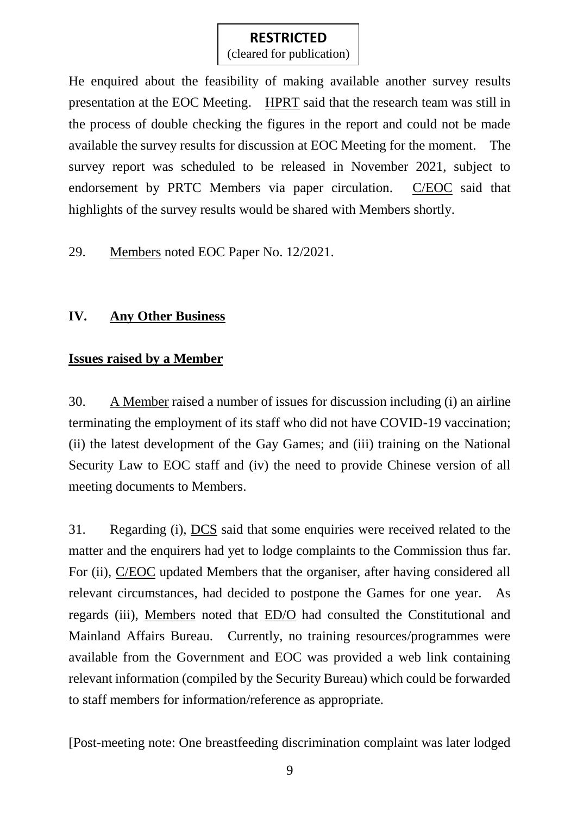(cleared for publication)

He enquired about the feasibility of making available another survey results presentation at the EOC Meeting. HPRT said that the research team was still in the process of double checking the figures in the report and could not be made available the survey results for discussion at EOC Meeting for the moment. The survey report was scheduled to be released in November 2021, subject to endorsement by PRTC Members via paper circulation. C/EOC said that highlights of the survey results would be shared with Members shortly.

29. Members noted EOC Paper No. 12/2021.

## **IV. Any Other Business**

## **Issues raised by a Member**

30. A Member raised a number of issues for discussion including (i) an airline terminating the employment of its staff who did not have COVID-19 vaccination; (ii) the latest development of the Gay Games; and (iii) training on the National Security Law to EOC staff and (iv) the need to provide Chinese version of all meeting documents to Members.

31. Regarding (i), DCS said that some enquiries were received related to the matter and the enquirers had yet to lodge complaints to the Commission thus far. For (ii), C/EOC updated Members that the organiser, after having considered all relevant circumstances, had decided to postpone the Games for one year. As regards (iii), Members noted that ED/O had consulted the Constitutional and Mainland Affairs Bureau. Currently, no training resources/programmes were available from the Government and EOC was provided a web link containing relevant information (compiled by the Security Bureau) which could be forwarded to staff members for information/reference as appropriate.

[Post-meeting note: One breastfeeding discrimination complaint was later lodged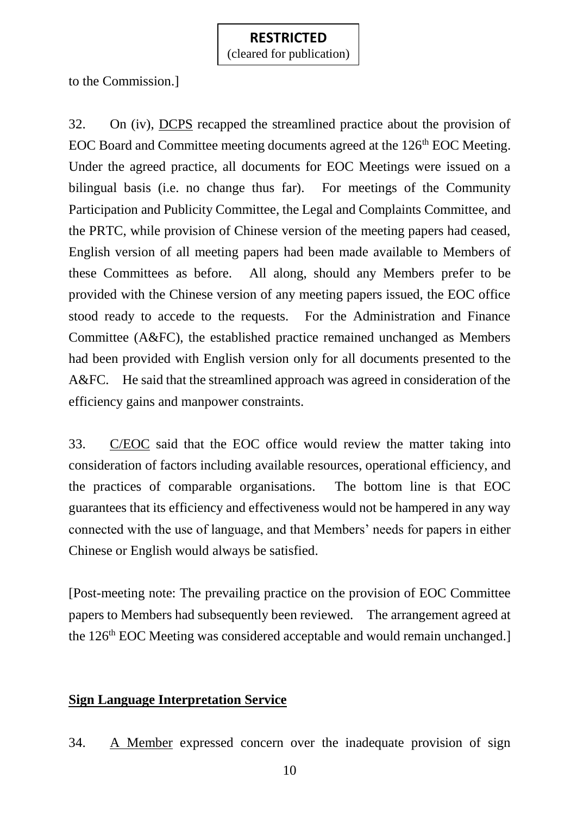to the Commission.]

32. On (iv), DCPS recapped the streamlined practice about the provision of EOC Board and Committee meeting documents agreed at the 126<sup>th</sup> EOC Meeting. Under the agreed practice, all documents for EOC Meetings were issued on a bilingual basis (i.e. no change thus far). For meetings of the Community Participation and Publicity Committee, the Legal and Complaints Committee, and the PRTC, while provision of Chinese version of the meeting papers had ceased, English version of all meeting papers had been made available to Members of these Committees as before. All along, should any Members prefer to be provided with the Chinese version of any meeting papers issued, the EOC office stood ready to accede to the requests. For the Administration and Finance Committee (A&FC), the established practice remained unchanged as Members had been provided with English version only for all documents presented to the A&FC. He said that the streamlined approach was agreed in consideration of the efficiency gains and manpower constraints.

33. C/EOC said that the EOC office would review the matter taking into consideration of factors including available resources, operational efficiency, and the practices of comparable organisations. The bottom line is that EOC guarantees that its efficiency and effectiveness would not be hampered in any way connected with the use of language, and that Members' needs for papers in either Chinese or English would always be satisfied.

[Post-meeting note: The prevailing practice on the provision of EOC Committee papers to Members had subsequently been reviewed. The arrangement agreed at the 126<sup>th</sup> EOC Meeting was considered acceptable and would remain unchanged.

## **Sign Language Interpretation Service**

34. A Member expressed concern over the inadequate provision of sign